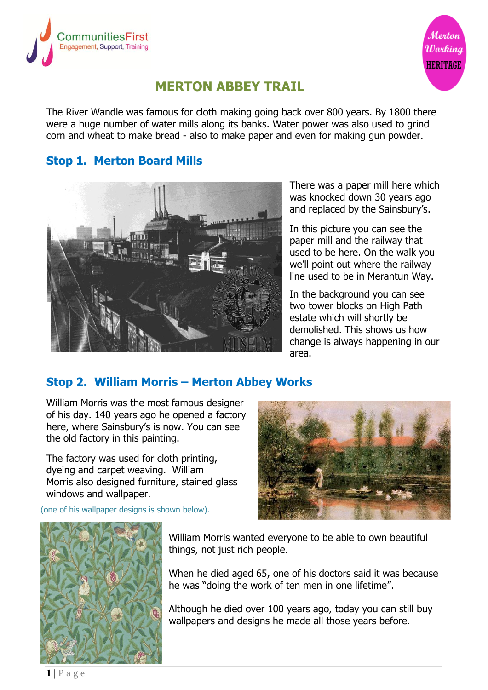



# **MERTON ABBEY TRAIL**

The River Wandle was famous for cloth making going back over 800 years. By 1800 there were a huge number of water mills along its banks. Water power was also used to grind corn and wheat to make bread - also to make paper and even for making gun powder.

#### **Stop 1. Merton Board Mills**



There was a paper mill here which was knocked down 30 years ago and replaced by the Sainsbury's.

In this picture you can see the paper mill and the railway that used to be here. On the walk you we'll point out where the railway line used to be in Merantun Way.

In the background you can see two tower blocks on High Path estate which will shortly be demolished. This shows us how change is always happening in our area.

## **Stop 2. William Morris – Merton Abbey Works**

William Morris was the most famous designer of his day. 140 years ago he opened a factory here, where Sainsbury's is now. You can see the old factory in this painting.

The factory was used for cloth printing, dyeing and carpet weaving. William Morris also designed furniture, stained glass windows and wallpaper.

(one of his wallpaper designs is shown below).





William Morris wanted everyone to be able to own beautiful things, not just rich people.

When he died aged 65, one of his doctors said it was because he was "doing the work of ten men in one lifetime".

Although he died over 100 years ago, today you can still buy wallpapers and designs he made all those years before.